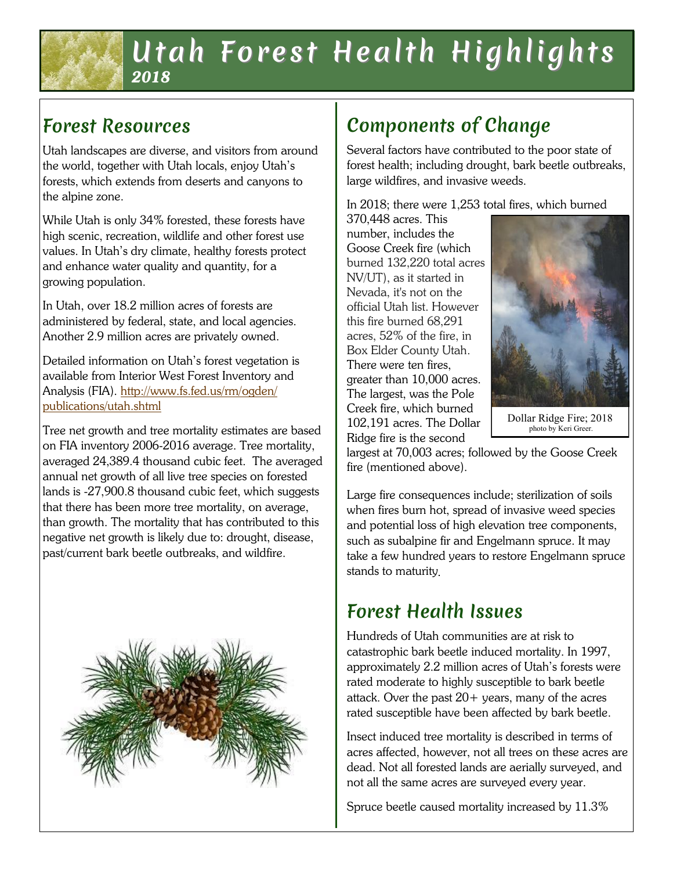## Utah Forest Health Highlights *2018*

# Forest Resources

Utah landscapes are diverse, and visitors from around the world, together with Utah locals, enjoy Utah's forests, which extends from deserts and canyons to the alpine zone.

While Utah is only 34% forested, these forests have high scenic, recreation, wildlife and other forest use values. In Utah's dry climate, healthy forests protect and enhance water quality and quantity, for a growing population.

In Utah, over 18.2 million acres of forests are administered by federal, state, and local agencies. Another 2.9 million acres are privately owned.

Detailed information on Utah's forest vegetation is available from Interior West Forest Inventory and Analysis (FIA). [http://www.fs.fed.us/rm/ogden/](http://www.fs.fed.us/rm/ogden/publications/utah.shtml) [publications/utah.shtml](http://www.fs.fed.us/rm/ogden/publications/utah.shtml)

Tree net growth and tree mortality estimates are based on FIA inventory 2006-2016 average. Tree mortality, averaged 24,389.4 thousand cubic feet. The averaged annual net growth of all live tree species on forested lands is -27,900.8 thousand cubic feet, which suggests that there has been more tree mortality, on average, than growth. The mortality that has contributed to this negative net growth is likely due to: drought, disease, past/current bark beetle outbreaks, and wildfire.



# Components of Change

Several factors have contributed to the poor state of forest health; including drought, bark beetle outbreaks, large wildfires, and invasive weeds.

In 2018; there were 1,253 total fires, which burned

370,448 acres. This number, includes the Goose Creek fire (which burned 132,220 total acres NV/UT), as it started in Nevada, it's not on the official Utah list. However this fire burned 68,291 acres, 52% of the fire, in Box Elder County Utah. There were ten fires, greater than 10,000 acres. The largest, was the Pole Creek fire, which burned 102,191 acres. The Dollar Ridge fire is the second



Dollar Ridge Fire; 2018 photo by Keri Greer.

largest at 70,003 acres; followed by the Goose Creek fire (mentioned above).

Large fire consequences include; sterilization of soils when fires burn hot, spread of invasive weed species and potential loss of high elevation tree components, such as subalpine fir and Engelmann spruce. It may take a few hundred years to restore Engelmann spruce stands to maturity

# Forest Health Issues

Hundreds of Utah communities are at risk to catastrophic bark beetle induced mortality. In 1997, approximately 2.2 million acres of Utah's forests were rated moderate to highly susceptible to bark beetle attack. Over the past  $20+$  years, many of the acres rated susceptible have been affected by bark beetle.

Insect induced tree mortality is described in terms of acres affected, however, not all trees on these acres are dead. Not all forested lands are aerially surveyed, and not all the same acres are surveyed every year.

Spruce beetle caused mortality increased by 11.3%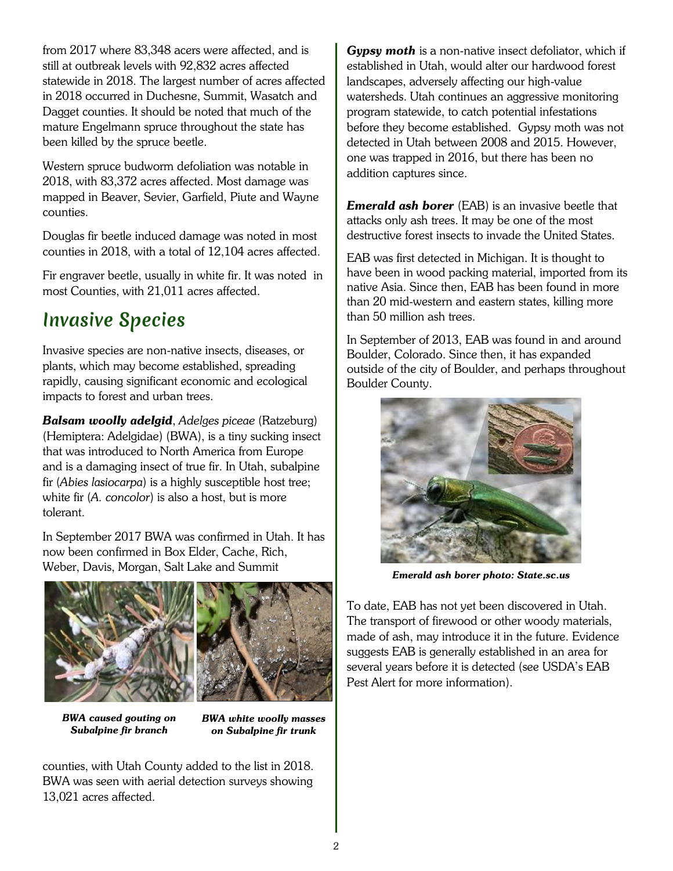from 2017 where 83,348 acers were affected, and is still at outbreak levels with 92,832 acres affected statewide in 2018. The largest number of acres affected in 2018 occurred in Duchesne, Summit, Wasatch and Dagget counties. It should be noted that much of the mature Engelmann spruce throughout the state has been killed by the spruce beetle.

Western spruce budworm defoliation was notable in 2018, with 83,372 acres affected. Most damage was mapped in Beaver, Sevier, Garfield, Piute and Wayne counties.

Douglas fir beetle induced damage was noted in most counties in 2018, with a total of 12,104 acres affected.

Fir engraver beetle, usually in white fir. It was noted in most Counties, with 21,011 acres affected.

#### Invasive Species

Invasive species are non-native insects, diseases, or plants, which may become established, spreading rapidly, causing significant economic and ecological impacts to forest and urban trees.

*Balsam woolly adelgid*, *Adelges piceae* (Ratzeburg) (Hemiptera: Adelgidae) (BWA), is a tiny sucking insect that was introduced to North America from Europe and is a damaging insect of true fir. In Utah, subalpine fir (*Abies lasiocarpa*) is a highly susceptible host tree; white fir (*A. concolor*) is also a host, but is more tolerant.

In September 2017 BWA was confirmed in Utah. It has now been confirmed in Box Elder, Cache, Rich, Weber, Davis, Morgan, Salt Lake and Summit





*BWA caused gouting on Subalpine fir branch*

*BWA white woolly masses on Subalpine fir trunk* 

counties, with Utah County added to the list in 2018. BWA was seen with aerial detection surveys showing 13,021 acres affected.

*Gypsy moth* is a non-native insect defoliator, which if established in Utah, would alter our hardwood forest landscapes, adversely affecting our high-value watersheds. Utah continues an aggressive monitoring program statewide, to catch potential infestations before they become established. Gypsy moth was not detected in Utah between 2008 and 2015. However, one was trapped in 2016, but there has been no addition captures since.

*Emerald ash borer* (EAB) is an invasive beetle that attacks only ash trees. It may be one of the most destructive forest insects to invade the United States.

EAB was first detected in Michigan. It is thought to have been in wood packing material, imported from its native Asia. Since then, EAB has been found in more than 20 mid-western and eastern states, killing more than 50 million ash trees.

In September of 2013, EAB was found in and around Boulder, Colorado. Since then, it has expanded outside of the city of Boulder, and perhaps throughout Boulder County.



*Emerald ash borer photo: State.sc.us*

To date, EAB has not yet been discovered in Utah. The transport of firewood or other woody materials, made of ash, may introduce it in the future. Evidence suggests EAB is generally established in an area for several years before it is detected (see USDA's EAB Pest Alert for more information).